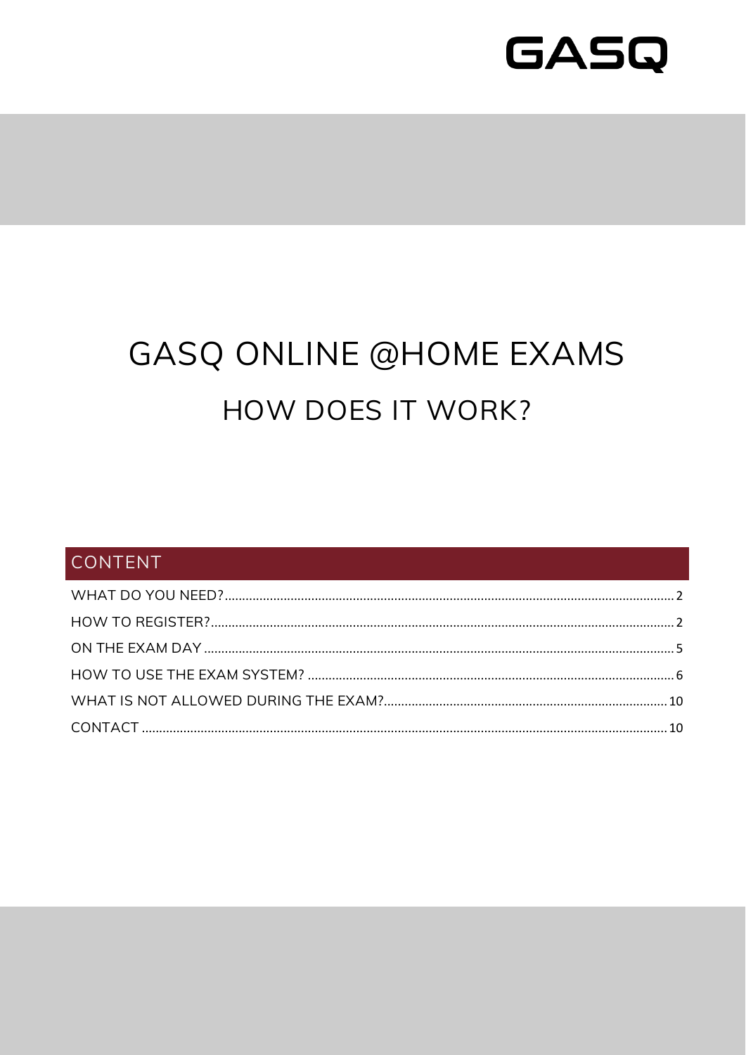

## **GASQ ONLINE @HOME EXAMS** HOW DOES IT WORK?

## CONTENT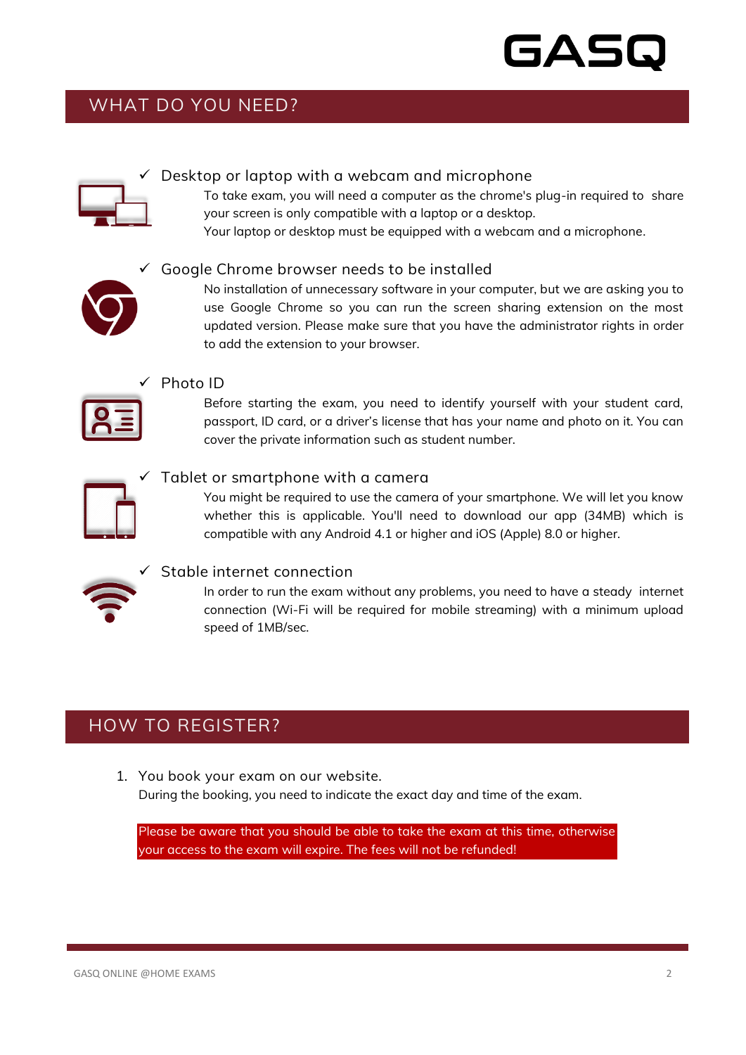# 5AS

## <span id="page-1-0"></span>WHAT DO YOU NEED?



#### $\checkmark$  Desktop or laptop with a webcam and microphone

To take exam, you will need a computer as the chrome's plug-in required to share your screen is only compatible with a laptop or a desktop.

Your laptop or desktop must be equipped with a webcam and a microphone.



#### Google Chrome browser needs to be installed

No installation of unnecessary software in your computer, but we are asking you to use Google Chrome so you can run the screen sharing extension on the most updated version. Please make sure that you have the administrator rights in order to add the extension to your browser.



#### Photo ID

Before starting the exam, you need to identify yourself with your student card, passport, ID card, or a driver's license that has your name and photo on it. You can cover the private information such as student number.



#### Tablet or smartphone with a camera

You might be required to use the camera of your smartphone. We will let you know whether this is applicable. You'll need to download our app (34MB) which is compatible with any Android 4.1 or higher and iOS (Apple) 8.0 or higher.



#### Stable internet connection

In order to run the exam without any problems, you need to have a steady internet connection (Wi-Fi will be required for mobile streaming) with a minimum upload speed of 1MB/sec.

### <span id="page-1-1"></span>HOW TO REGISTER?

1. You book your exam on our website. During the booking, you need to indicate the exact day and time of the exam.

Please be aware that you should be able to take the exam at this time, otherwise your access to the exam will expire. The fees will not be refunded!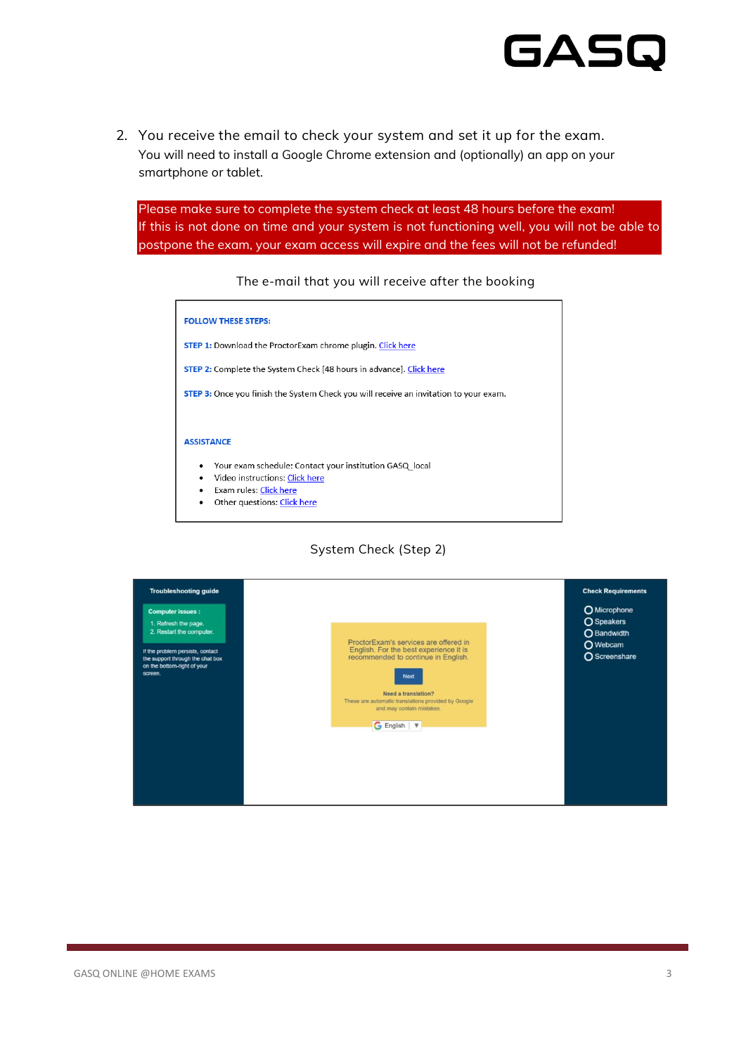

2. You receive the email to check your system and set it up for the exam. You will need to install a Google Chrome extension and (optionally) an app on your smartphone or tablet.

Please make sure to complete the system check at least 48 hours before the exam! If this is not done on time and your system is not functioning well, you will not be able to postpone the exam, your exam access will expire and the fees will not be refunded!

#### The e-mail that you will receive after the booking



#### System Check (Step 2)

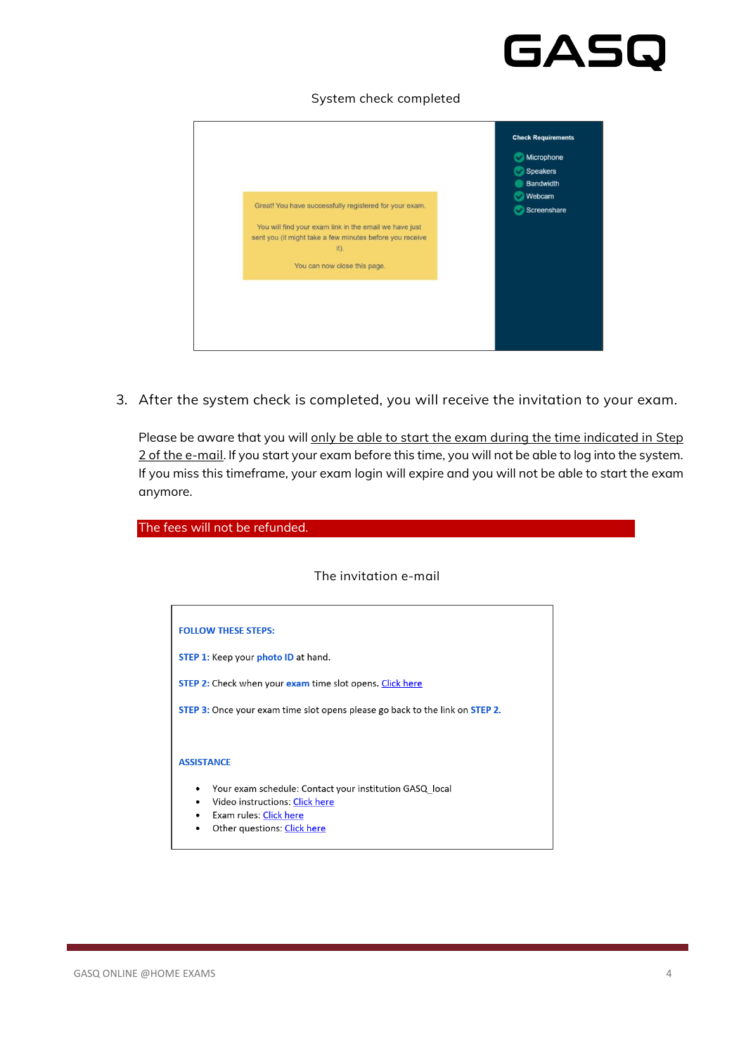# GASG

#### System check completed

| Microphone<br><b>Speakers</b><br>Bandwidth<br>Webcam<br>Great! You have successfully registered for your exam.<br>Screenshare<br>You will find your exam link in the email we have just<br>sent you (it might take a few minutes before you receive<br>it).<br>You can now close this page. | <b>Check Requirements</b> |
|---------------------------------------------------------------------------------------------------------------------------------------------------------------------------------------------------------------------------------------------------------------------------------------------|---------------------------|
|                                                                                                                                                                                                                                                                                             |                           |
|                                                                                                                                                                                                                                                                                             |                           |
|                                                                                                                                                                                                                                                                                             |                           |
|                                                                                                                                                                                                                                                                                             |                           |
|                                                                                                                                                                                                                                                                                             |                           |
|                                                                                                                                                                                                                                                                                             |                           |
|                                                                                                                                                                                                                                                                                             |                           |
|                                                                                                                                                                                                                                                                                             |                           |
|                                                                                                                                                                                                                                                                                             |                           |
|                                                                                                                                                                                                                                                                                             |                           |
|                                                                                                                                                                                                                                                                                             |                           |
|                                                                                                                                                                                                                                                                                             |                           |
|                                                                                                                                                                                                                                                                                             |                           |
|                                                                                                                                                                                                                                                                                             |                           |

3. After the system check is completed, you will receive the invitation to your exam.

Please be aware that you will only be able to start the exam during the time indicated in Step 2 of the e-mail. If you start your exam before this time, you will not be able to log into the system. If you miss this timeframe, your exam login will expire and you will not be able to start the exam anymore.

The fees will not be refunded. The invitation e-mail**FOLLOW THESE STEPS:** STEP 1: Keep your photo ID at hand. STEP 2: Check when your exam time slot opens. Click here STEP 3: Once your exam time slot opens please go back to the link on STEP 2. **ASSISTANCE** • Your exam schedule: Contact your institution GASQ\_local  $\bullet$ Video instructions: Click here • Exam rules: Click here

• Other questions: Click here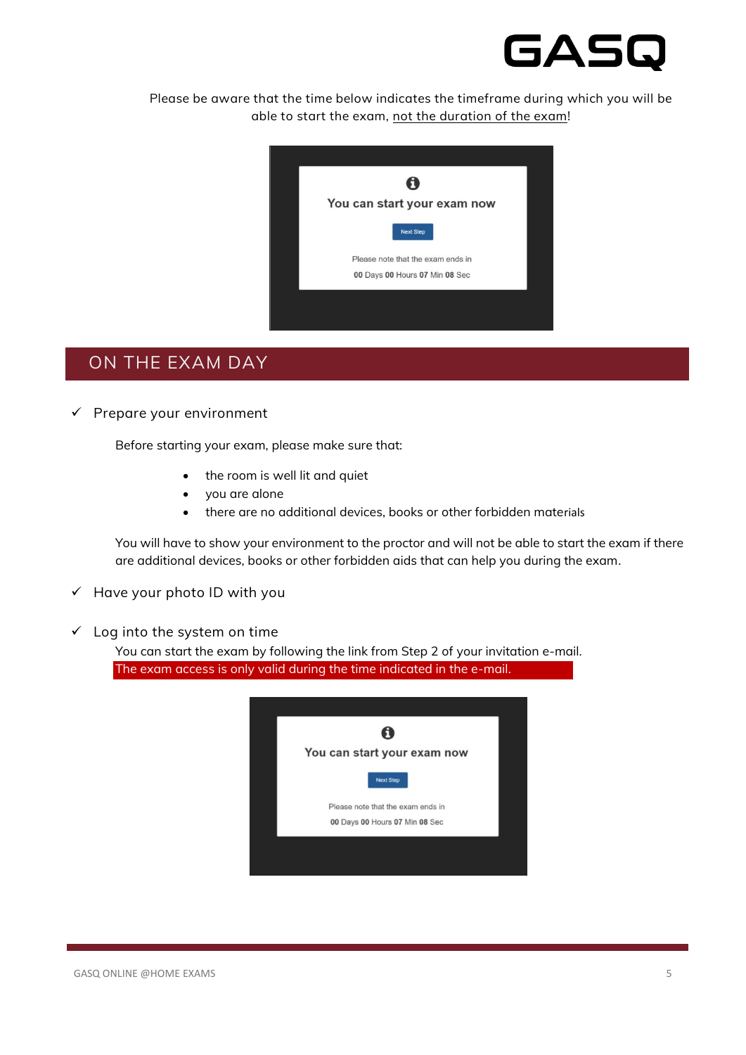

Please be aware that the time below indicates the timeframe during which you will be able to start the exam, not the duration of the exam!



### <span id="page-4-0"></span>ON THE EXAM DAY

 $\checkmark$  Prepare your environment

Before starting your exam, please make sure that:

- the room is well lit and quiet
- you are alone
- there are no additional devices, books or other forbidden materials

You will have to show your environment to the proctor and will not be able to start the exam if there are additional devices, books or other forbidden aids that can help you during the exam.

- $\checkmark$  Have your photo ID with you
- $\checkmark$  Log into the system on time

You can start the exam by following the link from Step 2 of your invitation e-mail. The exam access is only valid during the time indicated in the e-mail.

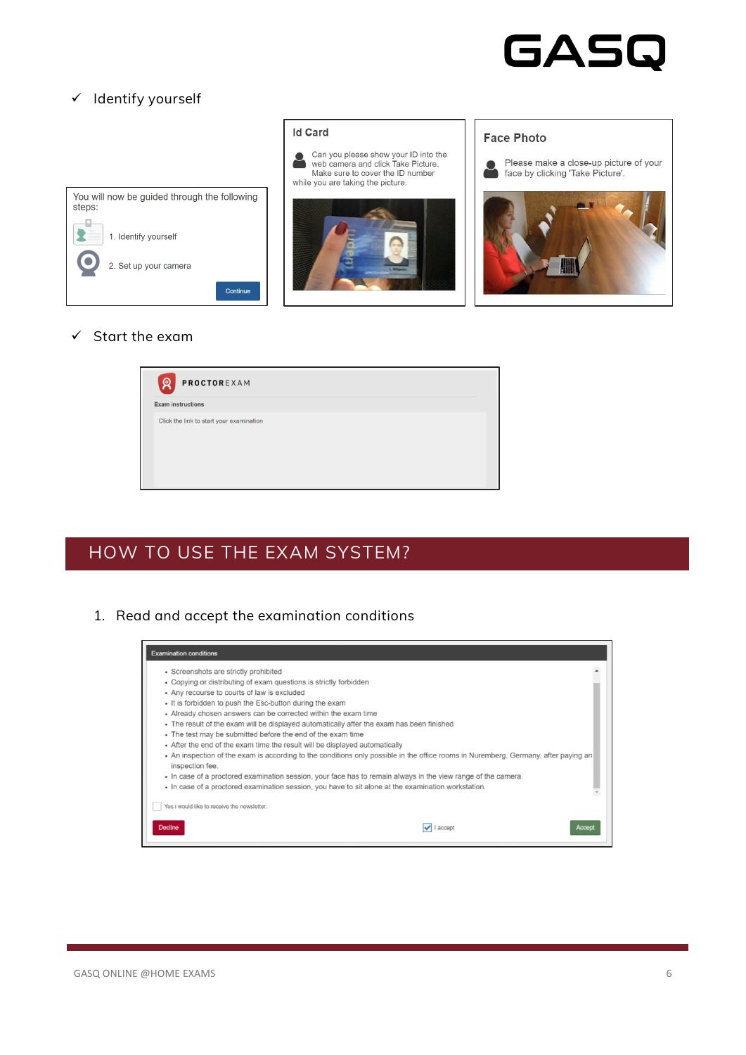

Please make a close-up picture of your

#### ✓ Identify yourself



#### **Id Card**







**Face Photo** 

#### $\checkmark$  Start the exam



### <span id="page-5-0"></span>HOW TO USE THE EXAM SYSTEM?

1. Read and accept the examination conditions

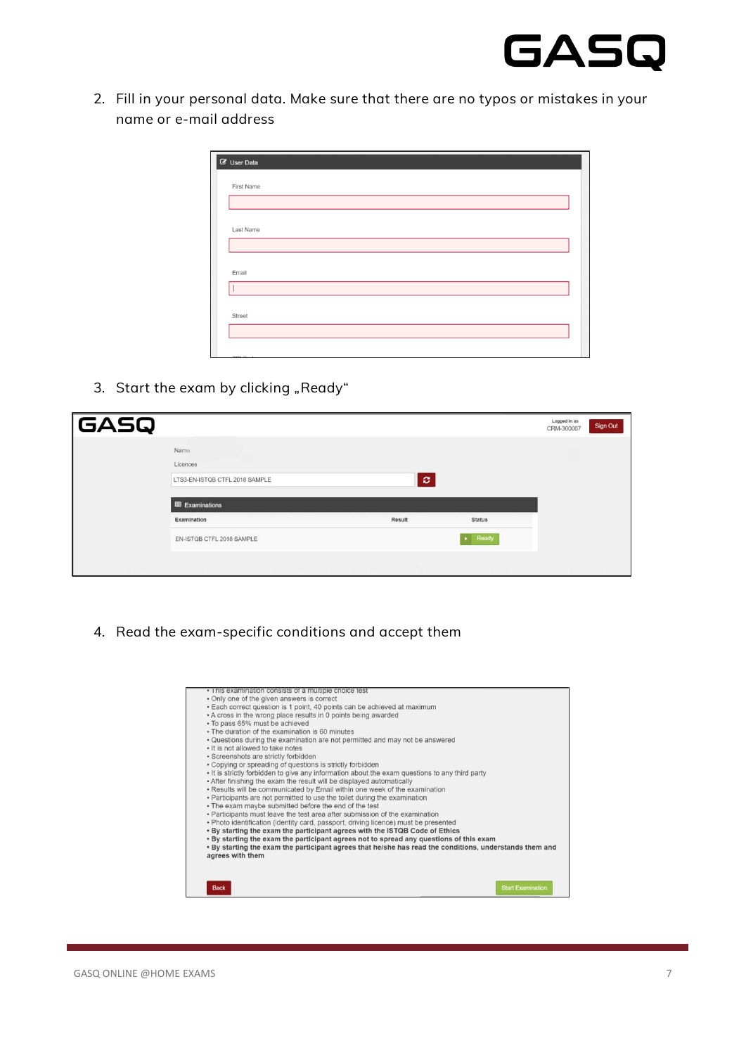

2. Fill in your personal data. Make sure that there are no typos or mistakes in your name or e-mail address

| First Name |  |  |
|------------|--|--|
|            |  |  |
|            |  |  |
| Last Name  |  |  |
|            |  |  |
|            |  |  |
| Email      |  |  |
|            |  |  |
|            |  |  |
| Street     |  |  |
|            |  |  |

3. Start the exam by clicking "Ready"

| GASQ |                                |        |                        | Logged in as<br>CRM-300067 | Sign Out |
|------|--------------------------------|--------|------------------------|----------------------------|----------|
|      | Name.                          |        |                        |                            |          |
|      | Licences                       |        |                        |                            |          |
|      | LTS3-EN-ISTQB CTFL 2018 SAMPLE | l ci   |                        |                            |          |
|      |                                |        |                        |                            |          |
|      | <b>ED</b> Examinations         |        |                        |                            |          |
|      | Examination                    | Result | <b>Status</b>          |                            |          |
|      | EN-ISTOB CTFL 2018 SAMPLE      |        | $\triangleright$ Ready |                            |          |
|      |                                |        |                        |                            |          |

4. Read the exam-specific conditions and accept them

| • I his examination consists of a multiple choice test                                                                      |                          |
|-----------------------------------------------------------------------------------------------------------------------------|--------------------------|
| • Only one of the given answers is correct                                                                                  |                          |
| · Each correct question is 1 point, 40 points can be achieved at maximum                                                    |                          |
| . A cross in the wrong place results in 0 points being awarded                                                              |                          |
| · To pass 65% must be achieved                                                                                              |                          |
| . The duration of the examination is 60 minutes                                                                             |                          |
| . Questions during the examination are not permitted and may not be answered                                                |                          |
| . It is not allowed to take notes                                                                                           |                          |
| · Screenshots are strictly forbidden                                                                                        |                          |
| • Copying or spreading of questions is strictly forbidden                                                                   |                          |
| . It is strictly forbidden to give any information about the exam questions to any third party                              |                          |
| . After finishing the exam the result will be displayed automatically                                                       |                          |
| . Results will be communicated by Email within one week of the examination                                                  |                          |
| • Participants are not permitted to use the toilet during the examination                                                   |                          |
| . The exam maybe submitted before the end of the test                                                                       |                          |
| • Participants must leave the test area after submission of the examination                                                 |                          |
| . Photo identification (identity card, passport, driving licence) must be presented                                         |                          |
| . By starting the exam the participant agrees with the ISTQB Code of Ethics                                                 |                          |
| . By starting the exam the participant agrees not to spread any questions of this exam                                      |                          |
| . By starting the exam the participant agrees that he/she has read the conditions, understands them and<br>agrees with them |                          |
|                                                                                                                             |                          |
|                                                                                                                             |                          |
|                                                                                                                             | <b>Start Examination</b> |
| <b>Back</b>                                                                                                                 |                          |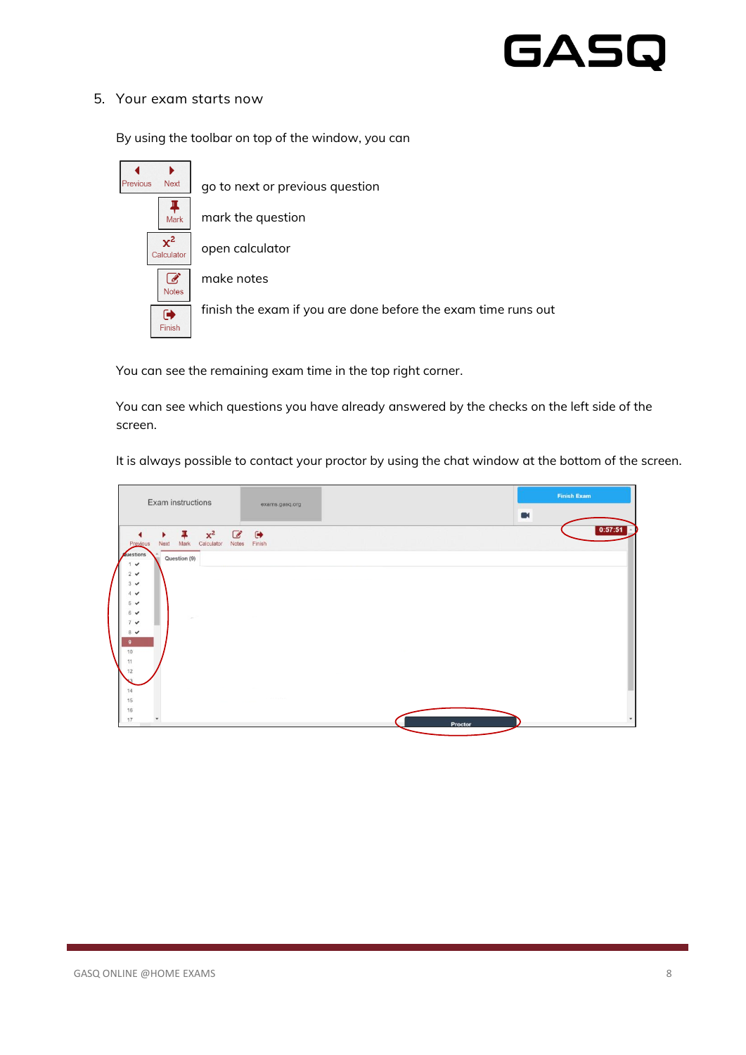# GASQ

#### 5. Your exam starts now

By using the toolbar on top of the window, you can

| ▶                       |                                                               |
|-------------------------|---------------------------------------------------------------|
| Previous<br><b>Next</b> | go to next or previous question                               |
| Mark                    | mark the question                                             |
| $x^2$<br>Calculator     | open calculator                                               |
| <b>Notes</b>            | make notes                                                    |
| ☞<br>Finish             | finish the exam if you are done before the exam time runs out |

You can see the remaining exam time in the top right corner.

You can see which questions you have already answered by the checks on the left side of the screen.

It is always possible to contact your proctor by using the chat window at the bottom of the screen.

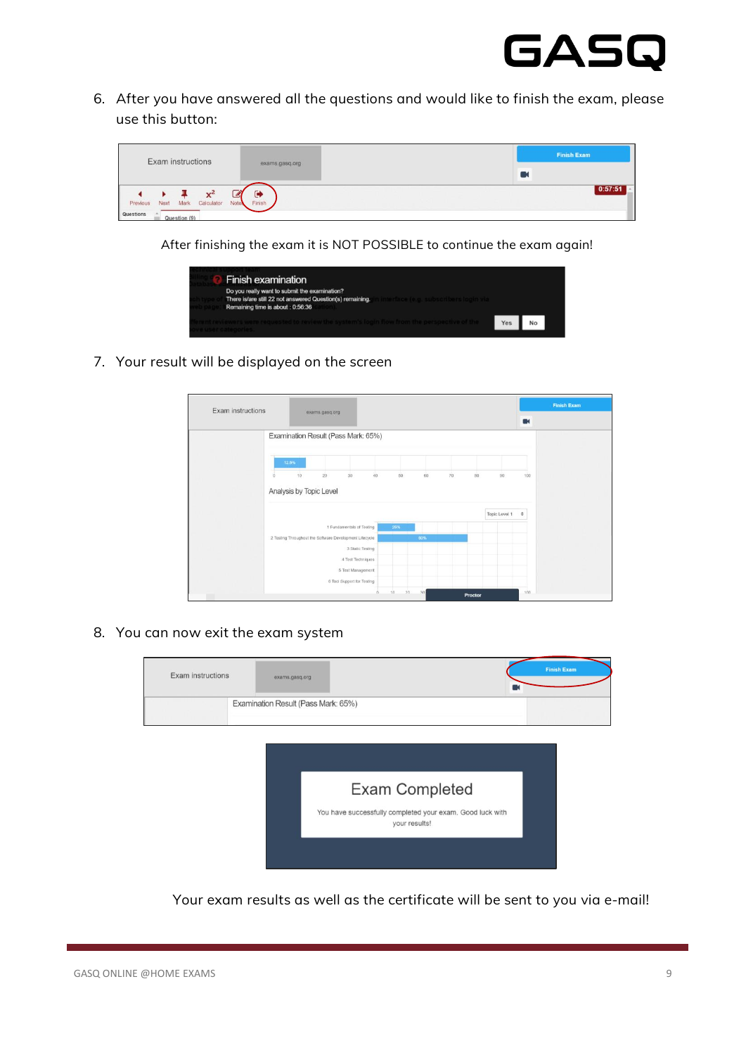

6. After you have answered all the questions and would like to finish the exam, please use this button:

| Exam instructions                                                                   |                          | <b>Finish Exam</b> |
|-------------------------------------------------------------------------------------|--------------------------|--------------------|
|                                                                                     | exams.gasq.org           |                    |
| $\mathbf{x}^{\mathsf{c}}$<br>Next<br>Mark<br>Calculator<br><b>Notes</b><br>Previous | $\blacksquare$<br>Finish | 0:57:51            |
| <b>Questions</b><br>Question (9)                                                    |                          |                    |

After finishing the exam it is NOT POSSIBLE to continue the exam again!

| <b>Finish examination</b>                                                                                                                                                                |  |  |
|------------------------------------------------------------------------------------------------------------------------------------------------------------------------------------------|--|--|
| Do you really want to submit the examination?<br>There is/are still 22 not answered Question(s) remaining.<br>interface (e.g. subscribers login via<br>Remaining time is about : 0:56:36 |  |  |
| ent reviewers were requested to review the system's login flow from the perspective of the<br><b>SULCADO CONGET</b>                                                                      |  |  |

7. Your result will be displayed on the screen

| Exam instructions |                                     | exams.gasq.org                                          |                            |    |     |     |    |    |                 |        | <b>Finish Exam</b> |
|-------------------|-------------------------------------|---------------------------------------------------------|----------------------------|----|-----|-----|----|----|-----------------|--------|--------------------|
|                   |                                     |                                                         |                            |    |     |     |    |    |                 | $\Box$ |                    |
|                   | Examination Result (Pass Mark: 65%) |                                                         |                            |    |     |     |    |    |                 |        |                    |
|                   | 12.5%                               |                                                         |                            |    |     |     |    |    |                 |        |                    |
|                   | $10^{-1}$<br>n                      | 20 <sup>°</sup>                                         | 30.                        | 40 | 50  | 60  | 70 | 80 | 90 <sub>1</sub> | 100    |                    |
|                   |                                     |                                                         |                            |    |     |     |    |    |                 |        |                    |
|                   | Analysis by Topic Level             |                                                         |                            |    |     |     |    |    |                 |        |                    |
|                   |                                     |                                                         |                            |    |     |     |    |    | Topic Level 1   | ÷      |                    |
|                   |                                     |                                                         | 1 Fundamentals of Testing  |    | 25% |     |    |    |                 |        |                    |
|                   |                                     | 2 Testing Throughout the Software Development Lifecycle |                            |    |     | 60% |    |    |                 |        |                    |
|                   |                                     |                                                         | 3 Static Testing           |    |     |     |    |    |                 |        |                    |
|                   |                                     |                                                         | 4 Test Techniques          |    |     |     |    |    |                 |        |                    |
|                   |                                     |                                                         | 5 Test Management          |    |     |     |    |    |                 |        |                    |
|                   |                                     |                                                         | 6 Tool Support for Testing |    |     |     |    |    |                 |        |                    |

8. You can now exit the exam system

| Examination Result (Pass Mark: 65%) |                |                                                           |
|-------------------------------------|----------------|-----------------------------------------------------------|
|                                     |                |                                                           |
|                                     |                |                                                           |
|                                     |                |                                                           |
|                                     | Exam Completed |                                                           |
|                                     | your results!  |                                                           |
|                                     |                |                                                           |
|                                     |                | You have successfully completed your exam. Good luck with |

Your exam results as well as the certificate will be sent to you via e-mail!